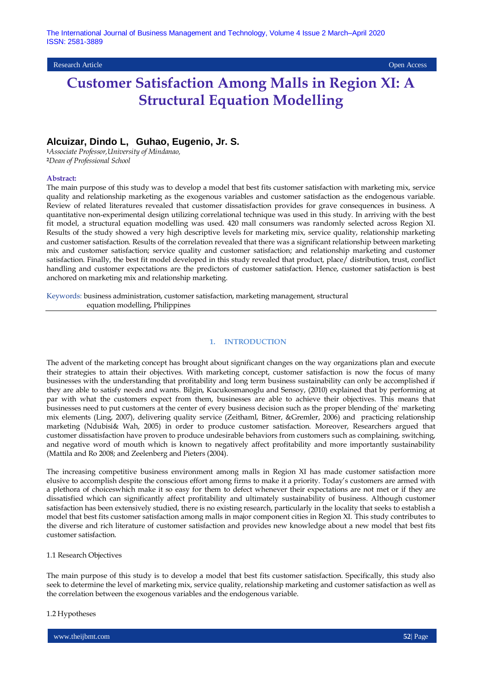## Research Article Open Access

# **Customer Satisfaction Among Malls in Region XI: A Structural Equation Modelling**

# **Alcuizar, Dindo L, Guhao, Eugenio, Jr. S.**

**<sup>1</sup>***Associate Professor,University of Mindanao,*  **<sup>2</sup>***Dean of Professional School*

#### **Abstract:**

The main purpose of this study was to develop a model that best fits customer satisfaction with marketing mix, service quality and relationship marketing as the exogenous variables and customer satisfaction as the endogenous variable. Review of related literatures revealed that customer dissatisfaction provides for grave consequences in business. A quantitative non-experimental design utilizing correlational technique was used in this study. In arriving with the best fit model, a structural equation modelling was used. 420 mall consumers was randomly selected across Region XI. Results of the study showed a very high descriptive levels for marketing mix, service quality, relationship marketing and customer satisfaction. Results of the correlation revealed that there was a significant relationship between marketing mix and customer satisfaction; service quality and customer satisfaction; and relationship marketing and customer satisfaction. Finally, the best fit model developed in this study revealed that product, place/ distribution, trust, conflict handling and customer expectations are the predictors of customer satisfaction. Hence, customer satisfaction is best anchored on marketing mix and relationship marketing.

Keywords: business administration, customer satisfaction, marketing management, structural equation modelling, Philippines

### **1. INTRODUCTION**

The advent of the marketing concept has brought about significant changes on the way organizations plan and execute their strategies to attain their objectives. With marketing concept, customer satisfaction is now the focus of many businesses with the understanding that profitability and long term business sustainability can only be accomplished if they are able to satisfy needs and wants. Bilgin, Kucukosmanoglu and Sensoy, (2010) explained that by performing at par with what the customers expect from them, businesses are able to achieve their objectives. This means that businesses need to put customers at the center of every business decision such as the proper blending of the` marketing mix elements (Ling, 2007), delivering quality service (Zeithaml, Bitner, &Gremler, 2006) and practicing relationship marketing (Ndubisi& Wah, 2005) in order to produce customer satisfaction. Moreover, Researchers argued that customer dissatisfaction have proven to produce undesirable behaviors from customers such as complaining, switching, and negative word of mouth which is known to negatively affect profitability and more importantly sustainability (Mattila and Ro 2008; and Zeelenberg and Pieters (2004).

The increasing competitive business environment among malls in Region XI has made customer satisfaction more elusive to accomplish despite the conscious effort among firms to make it a priority. Today's customers are armed with a plethora of choiceswhich make it so easy for them to defect whenever their expectations are not met or if they are dissatisfied which can significantly affect profitability and ultimately sustainability of business. Although customer satisfaction has been extensively studied, there is no existing research, particularly in the locality that seeks to establish a model that best fits customer satisfaction among malls in major component cities in Region XI. This study contributes to the diverse and rich literature of customer satisfaction and provides new knowledge about a new model that best fits customer satisfaction.

#### 1.1 Research Objectives

The main purpose of this study is to develop a model that best fits customer satisfaction. Specifically, this study also seek to determine the level of marketing mix, service quality, relationship marketing and customer satisfaction as well as the correlation between the exogenous variables and the endogenous variable.

#### 1.2 Hypotheses

www.theijbmt.com **52**| Page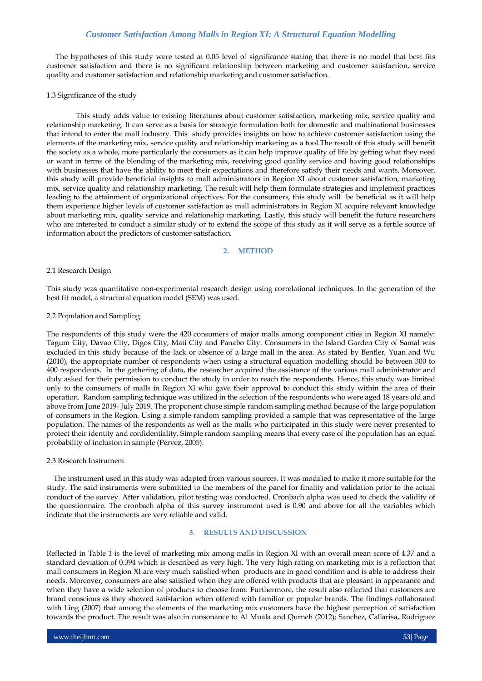The hypotheses of this study were tested at 0.05 level of significance stating that there is no model that best fits customer satisfaction and there is no significant relationship between marketing and customer satisfaction, service quality and customer satisfaction and relationship marketing and customer satisfaction.

## 1.3 Significance of the study

This study adds value to existing literatures about customer satisfaction, marketing mix, service quality and relationship marketing. It can serve as a basis for strategic formulation both for domestic and multinational businesses that intend to enter the mall industry. This study provides insights on how to achieve customer satisfaction using the elements of the marketing mix, service quality and relationship marketing as a tool.The result of this study will benefit the society as a whole, more particularly the consumers as it can help improve quality of life by getting what they need or want in terms of the blending of the marketing mix, receiving good quality service and having good relationships with businesses that have the ability to meet their expectations and therefore satisfy their needs and wants. Moreover, this study will provide beneficial insights to mall administrators in Region XI about customer satisfaction, marketing mix, service quality and relationship marketing. The result will help them formulate strategies and implement practices leading to the attainment of organizational objectives. For the consumers, this study will be beneficial as it will help them experience higher levels of customer satisfaction as mall administrators in Region XI acquire relevant knowledge about marketing mix, quality service and relationship marketing. Lastly, this study will benefit the future researchers who are interested to conduct a similar study or to extend the scope of this study as it will serve as a fertile source of information about the predictors of customer satisfaction.

## **2. METHOD**

#### 2.1 Research Design

This study was quantitative non-experimental research design using correlational techniques. In the generation of the best fit model, a structural equation model (SEM) was used.

## 2.2 Population and Sampling

The respondents of this study were the 420 consumers of major malls among component cities in Region XI namely: Tagum City, Davao City, Digos City, Mati City and Panabo City. Consumers in the Island Garden City of Samal was excluded in this study because of the lack or absence of a large mall in the area. As stated by Bentler, Yuan and Wu (2010), the appropriate number of respondents when using a structural equation modelling should be between 300 to 400 respondents. In the gathering of data, the researcher acquired the assistance of the various mall administrator and duly asked for their permission to conduct the study in order to reach the respondents. Hence, this study was limited only to the consumers of malls in Region XI who gave their approval to conduct this study within the area of their operation. Random sampling technique was utilized in the selection of the respondents who were aged 18 years old and above from June 2019- July 2019. The proponent chose simple random sampling method because of the large population of consumers in the Region. Using a simple random sampling provided a sample that was representative of the large population. The names of the respondents as well as the malls who participated in this study were never presented to protect their identity and confidentiality. Simple random sampling means that every case of the population has an equal probability of inclusion in sample (Pervez, 2005).

#### 2.3 Research Instrument

 The instrument used in this study was adapted from various sources. It was modified to make it more suitable for the study. The said instruments were submitted to the members of the panel for finality and validation prior to the actual conduct of the survey. After validation, pilot testing was conducted. Cronbach alpha was used to check the validity of the questionnaire. The cronbach alpha of this survey instrument used is 0.90 and above for all the variables which indicate that the instruments are very reliable and valid.

#### **3. RESULTS AND DISCUSSION**

Reflected in Table 1 is the level of marketing mix among malls in Region XI with an overall mean score of 4.37 and a standard deviation of 0.394 which is described as very high. The very high rating on marketing mix is a reflection that mall consumers in Region XI are very much satisfied when products are in good condition and is able to address their needs. Moreover, consumers are also satisfied when they are offered with products that are pleasant in appearance and when they have a wide selection of products to choose from. Furthermore, the result also reflected that customers are brand conscious as they showed satisfaction when offered with familiar or popular brands. The findings collaborated with Ling (2007) that among the elements of the marketing mix customers have the highest perception of satisfaction towards the product. The result was also in consonance to Al Muala and Qurneh (2012); Sanchez, Callarisa, Rodriguez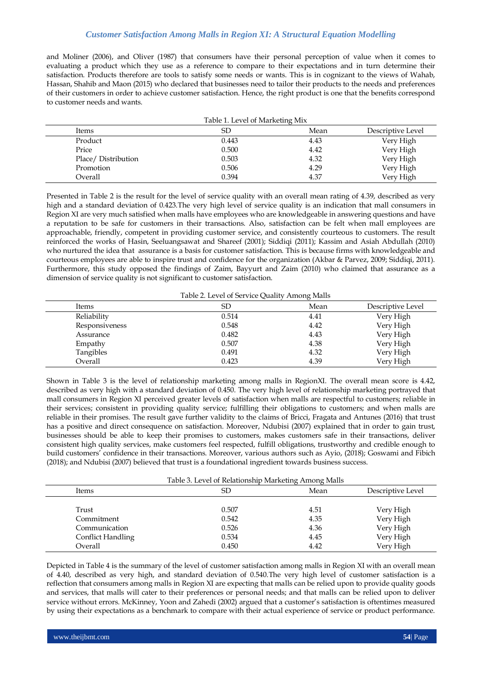and Moliner (2006), and Oliver (1987) that consumers have their personal perception of value when it comes to evaluating a product which they use as a reference to compare to their expectations and in turn determine their satisfaction. Products therefore are tools to satisfy some needs or wants. This is in cognizant to the views of Wahab, Hassan, Shahib and Maon (2015) who declared that businesses need to tailor their products to the needs and preferences of their customers in order to achieve customer satisfaction. Hence, the right product is one that the benefits correspond to customer needs and wants.

|                    | Table 1. Level of Marketing Mix |      |                   |
|--------------------|---------------------------------|------|-------------------|
| Items              | SD                              | Mean | Descriptive Level |
| Product            | 0.443                           | 4.43 | Very High         |
| Price              | 0.500                           | 4.42 | Very High         |
| Place/Distribution | 0.503                           | 4.32 | Very High         |
| Promotion          | 0.506                           | 4.29 | Very High         |
| Overall            | 0.394                           | 4.37 | Very High         |

Presented in Table 2 is the result for the level of service quality with an overall mean rating of 4.39, described as very high and a standard deviation of 0.423.The very high level of service quality is an indication that mall consumers in Region XI are very much satisfied when malls have employees who are knowledgeable in answering questions and have a reputation to be safe for customers in their transactions. Also, satisfaction can be felt when mall employees are approachable, friendly, competent in providing customer service, and consistently courteous to customers. The result reinforced the works of Hasin, Seeluangsawat and Shareef (2001); Siddiqi (2011); Kassim and Asiah Abdullah (2010) who nurtured the idea that assurance is a basis for customer satisfaction. This is because firms with knowledgeable and courteous employees are able to inspire trust and confidence for the organization (Akbar & Parvez, 2009; Siddiqi, 2011). Furthermore, this study opposed the findings of Zaim, Bayyurt and Zaim (2010) who claimed that assurance as a dimension of service quality is not significant to customer satisfaction.

Table 2. Level of Service Quality Among Malls

| Items          | SD    | Mean | Descriptive Level |
|----------------|-------|------|-------------------|
| Reliability    | 0.514 | 4.41 | Very High         |
| Responsiveness | 0.548 | 4.42 | Very High         |
| Assurance      | 0.482 | 4.43 | Very High         |
| Empathy        | 0.507 | 4.38 | Very High         |
| Tangibles      | 0.491 | 4.32 | Very High         |
| Overall        | 0.423 | 4.39 | Very High         |
|                |       |      |                   |

Shown in Table 3 is the level of relationship marketing among malls in RegionXI. The overall mean score is 4.42, described as very high with a standard deviation of 0.450. The very high level of relationship marketing portrayed that mall consumers in Region XI perceived greater levels of satisfaction when malls are respectful to customers; reliable in their services; consistent in providing quality service; fulfilling their obligations to customers; and when malls are reliable in their promises. The result gave further validity to the claims of Bricci, Fragata and Antunes (2016) that trust has a positive and direct consequence on satisfaction. Moreover, Ndubisi (2007) explained that in order to gain trust, businesses should be able to keep their promises to customers, makes customers safe in their transactions, deliver consistent high quality services, make customers feel respected, fulfill obligations, trustworthy and credible enough to build customers' confidence in their transactions. Moreover, various authors such as Ayio, (2018); Goswami and Fibich (2018); and Ndubisi (2007) believed that trust is a foundational ingredient towards business success.

|                          | Table 3. Level of Relationship Marketing Among Malls |      |                   |  |  |  |  |
|--------------------------|------------------------------------------------------|------|-------------------|--|--|--|--|
| Items                    | SD<br>Mean                                           |      | Descriptive Level |  |  |  |  |
|                          |                                                      |      |                   |  |  |  |  |
| Trust                    | 0.507                                                | 4.51 | Very High         |  |  |  |  |
| Commitment               | 0.542                                                | 4.35 | Very High         |  |  |  |  |
| Communication            | 0.526                                                | 4.36 | Very High         |  |  |  |  |
| <b>Conflict Handling</b> | 0.534                                                | 4.45 | Very High         |  |  |  |  |
| Overall                  | 0.450                                                | 4.42 | Very High         |  |  |  |  |

Depicted in Table 4 is the summary of the level of customer satisfaction among malls in Region XI with an overall mean of 4.40, described as very high, and standard deviation of 0.540.The very high level of customer satisfaction is a reflection that consumers among malls in Region XI are expecting that malls can be relied upon to provide quality goods and services, that malls will cater to their preferences or personal needs; and that malls can be relied upon to deliver service without errors. McKinney, Yoon and Zahedi (2002) argued that a customer's satisfaction is oftentimes measured by using their expectations as a benchmark to compare with their actual experience of service or product performance.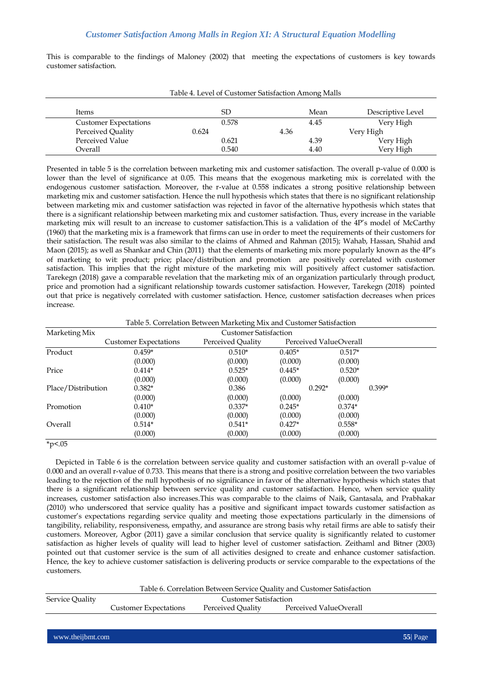This is comparable to the findings of Maloney (2002) that meeting the expectations of customers is key towards customer satisfaction.

| Table 4. Level of Customer Satisfaction Among Malls |       |      |                   |  |  |  |
|-----------------------------------------------------|-------|------|-------------------|--|--|--|
| <b>Items</b>                                        | SD    | Mean | Descriptive Level |  |  |  |
| <b>Customer Expectations</b>                        | 0.578 | 4.45 | Very High         |  |  |  |
| Perceived Quality                                   | 0.624 | 4.36 | Very High         |  |  |  |
| Perceived Value                                     | 0.621 | 4.39 | Very High         |  |  |  |
| Overall                                             | 0.540 | 4.40 | Very High         |  |  |  |

Presented in table 5 is the correlation between marketing mix and customer satisfaction. The overall p-value of 0.000 is lower than the level of significance at 0.05. This means that the exogenous marketing mix is correlated with the endogenous customer satisfaction. Moreover, the r-value at 0.558 indicates a strong positive relationship between marketing mix and customer satisfaction. Hence the null hypothesis which states that there is no significant relationship between marketing mix and customer satisfaction was rejected in favor of the alternative hypothesis which states that there is a significant relationship between marketing mix and customer satisfaction. Thus, every increase in the variable marketing mix will result to an increase to customer satisfaction.This is a validation of the 4P's model of McCarthy (1960) that the marketing mix is a framework that firms can use in order to meet the requirements of their customers for their satisfaction. The result was also similar to the claims of Ahmed and Rahman (2015); Wahab, Hassan, Shahid and Maon (2015); as well as Shankar and Chin (2011) that the elements of marketing mix more popularly known as the 4P's of marketing to wit: product; price; place/distribution and promotion are positively correlated with customer satisfaction. This implies that the right mixture of the marketing mix will positively affect customer satisfaction. Tarekegn (2018) gave a comparable revelation that the marketing mix of an organization particularly through product, price and promotion had a significant relationship towards customer satisfaction. However, Tarekegn (2018) pointed out that price is negatively correlated with customer satisfaction. Hence, customer satisfaction decreases when prices increase.

Table 5. Correlation Between Marketing Mix and Customer Satisfaction

| Marketing Mix      |                              | <b>Customer Satisfaction</b> |                        |          |          |
|--------------------|------------------------------|------------------------------|------------------------|----------|----------|
|                    | <b>Customer Expectations</b> | Perceived Quality            | Perceived ValueOverall |          |          |
| Product            | $0.459*$                     | $0.510*$                     | $0.405*$               | $0.517*$ |          |
|                    | (0.000)                      | (0.000)                      | (0.000)                | (0.000)  |          |
| Price              | $0.414*$                     | $0.525*$                     | $0.445*$               | $0.520*$ |          |
|                    | (0.000)                      | (0.000)                      | (0.000)                | (0.000)  |          |
| Place/Distribution | $0.382*$                     | 0.386                        | $0.292*$               |          | $0.399*$ |
|                    | (0.000)                      | (0.000)                      | (0.000)                | (0.000)  |          |
| Promotion          | $0.410*$                     | $0.337*$                     | $0.245*$               | $0.374*$ |          |
|                    | (0.000)                      | (0.000)                      | (0.000)                | (0.000)  |          |
| Overall            | $0.514*$                     | $0.541*$                     | $0.427*$               | $0.558*$ |          |
|                    | (0.000)                      | (0.000)                      | (0.000)                | (0.000)  |          |

 $*p$ <.05

 Depicted in Table 6 is the correlation between service quality and customer satisfaction with an overall p-value of 0.000 and an overall r-value of 0.733. This means that there is a strong and positive correlation between the two variables leading to the rejection of the null hypothesis of no significance in favor of the alternative hypothesis which states that there is a significant relationship between service quality and customer satisfaction. Hence, when service quality increases, customer satisfaction also increases.This was comparable to the claims of Naik, Gantasala, and Prabhakar (2010) who underscored that service quality has a positive and significant impact towards customer satisfaction as customer's expectations regarding service quality and meeting those expectations particularly in the dimensions of tangibility, reliability, responsiveness, empathy, and assurance are strong basis why retail firms are able to satisfy their customers. Moreover, Agbor (2011) gave a similar conclusion that service quality is significantly related to customer satisfaction as higher levels of quality will lead to higher level of customer satisfaction. Zeithaml and Bitner (2003) pointed out that customer service is the sum of all activities designed to create and enhance customer satisfaction. Hence, the key to achieve customer satisfaction is delivering products or service comparable to the expectations of the customers.

|                 |                              |                   | Table 6. Correlation Between Service Quality and Customer Satisfaction |  |  |
|-----------------|------------------------------|-------------------|------------------------------------------------------------------------|--|--|
| Service Quality | <b>Customer Satisfaction</b> |                   |                                                                        |  |  |
|                 | <b>Customer Expectations</b> | Perceived Ouality | Perceived ValueOverall                                                 |  |  |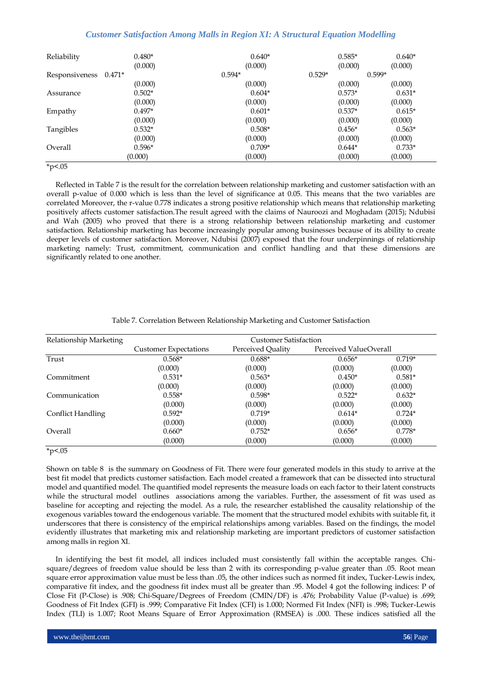| Reliability    | $0.480*$<br>(0.000) | $0.640*$<br>(0.000) | $0.585*$<br>(0.000) | $0.640*$<br>(0.000) |
|----------------|---------------------|---------------------|---------------------|---------------------|
| Responsiveness | $0.471*$            | $0.594*$            | $0.529*$            | $0.599*$            |
|                | (0.000)             | (0.000)             | (0.000)             | (0.000)             |
| Assurance      | $0.502*$            | $0.604*$            | $0.573*$            | $0.631*$            |
|                | (0.000)             | (0.000)             | (0.000)             | (0.000)             |
| Empathy        | $0.497*$            | $0.601*$            | $0.537*$            | $0.615*$            |
|                | (0.000)             | (0.000)             | (0.000)             | (0.000)             |
| Tangibles      | $0.532*$            | $0.508*$            | $0.456*$            | $0.563*$            |
|                | (0.000)             | (0.000)             | (0.000)             | (0.000)             |
| Overall        | $0.596*$            | $0.709*$            | $0.644*$            | $0.733*$            |
|                | (0.000)             | (0.000)             | (0.000)             | (0.000)             |

 $*p<.05$ 

 Reflected in Table 7 is the result for the correlation between relationship marketing and customer satisfaction with an overall p-value of 0.000 which is less than the level of significance at 0.05. This means that the two variables are correlated Moreover, the r-value 0.778 indicates a strong positive relationship which means that relationship marketing positively affects customer satisfaction.The result agreed with the claims of Nauroozi and Moghadam (2015); Ndubisi and Wah (2005) who proved that there is a strong relationship between relationship marketing and customer satisfaction. Relationship marketing has become increasingly popular among businesses because of its ability to create deeper levels of customer satisfaction. Moreover, Ndubisi (2007) exposed that the four underpinnings of relationship marketing namely: Trust, commitment, communication and conflict handling and that these dimensions are significantly related to one another.

| Relationship Marketing |                              | <b>Customer Satisfaction</b> |                        |          |
|------------------------|------------------------------|------------------------------|------------------------|----------|
|                        | <b>Customer Expectations</b> | Perceived Quality            | Perceived ValueOverall |          |
| Trust                  | $0.568*$                     | $0.688*$                     | $0.656*$               | $0.719*$ |
|                        | (0.000)                      | (0.000)                      | (0.000)                | (0.000)  |
| Commitment             | $0.531*$                     | $0.563*$                     | $0.450*$               | $0.581*$ |
|                        | (0.000)                      | (0.000)                      | (0.000)                | (0.000)  |
| Communication          | $0.558*$                     | $0.598*$                     | $0.522*$               | $0.632*$ |
|                        | (0.000)                      | (0.000)                      | (0.000)                | (0.000)  |
| Conflict Handling      | $0.592*$                     | $0.719*$                     | $0.614*$               | $0.724*$ |
|                        | (0.000)                      | (0.000)                      | (0.000)                | (0.000)  |
| Overall                | $0.660*$                     | $0.752*$                     | $0.656*$               | $0.778*$ |
|                        | (0.000)                      | (0.000)                      | (0.000)                | (0.000)  |
| $*_{p<.05}$            |                              |                              |                        |          |

## Table 7. Correlation Between Relationship Marketing and Customer Satisfaction

Shown on table 8 is the summary on Goodness of Fit. There were four generated models in this study to arrive at the best fit model that predicts customer satisfaction. Each model created a framework that can be dissected into structural model and quantified model. The quantified model represents the measure loads on each factor to their latent constructs while the structural model outlines associations among the variables. Further, the assessment of fit was used as baseline for accepting and rejecting the model. As a rule, the researcher established the causality relationship of the exogenous variables toward the endogenous variable. The moment that the structured model exhibits with suitable fit, it underscores that there is consistency of the empirical relationships among variables. Based on the findings, the model evidently illustrates that marketing mix and relationship marketing are important predictors of customer satisfaction among malls in region XI.

 In identifying the best fit model, all indices included must consistently fall within the acceptable ranges. Chisquare/degrees of freedom value should be less than 2 with its corresponding p-value greater than .05. Root mean square error approximation value must be less than .05, the other indices such as normed fit index, Tucker-Lewis index, comparative fit index, and the goodness fit index must all be greater than .95. Model 4 got the following indices: P of Close Fit (P-Close) is .908; Chi-Square/Degrees of Freedom (CMIN/DF) is .476; Probability Value (P-value) is .699; Goodness of Fit Index (GFI) is .999; Comparative Fit Index (CFI) is 1.000; Normed Fit Index (NFI) is .998; Tucker-Lewis Index (TLI) is 1.007; Root Means Square of Error Approximation (RMSEA) is .000. These indices satisfied all the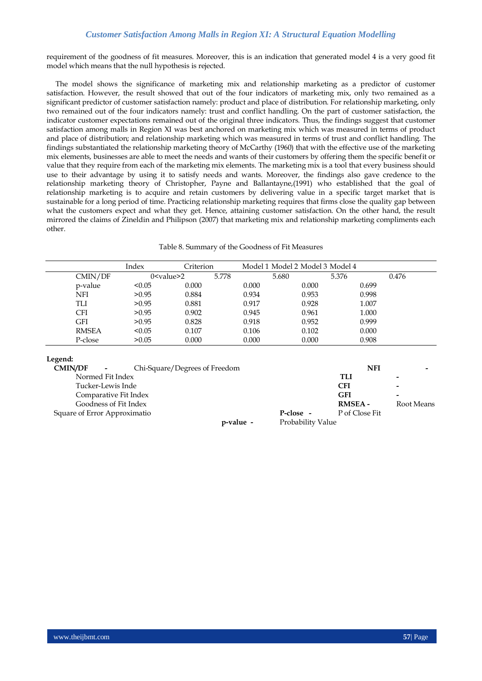requirement of the goodness of fit measures. Moreover, this is an indication that generated model 4 is a very good fit model which means that the null hypothesis is rejected.

 The model shows the significance of marketing mix and relationship marketing as a predictor of customer satisfaction. However, the result showed that out of the four indicators of marketing mix, only two remained as a significant predictor of customer satisfaction namely: product and place of distribution. For relationship marketing, only two remained out of the four indicators namely: trust and conflict handling. On the part of customer satisfaction, the indicator customer expectations remained out of the original three indicators. Thus, the findings suggest that customer satisfaction among malls in Region XI was best anchored on marketing mix which was measured in terms of product and place of distribution; and relationship marketing which was measured in terms of trust and conflict handling. The findings substantiated the relationship marketing theory of McCarthy (1960) that with the effective use of the marketing mix elements, businesses are able to meet the needs and wants of their customers by offering them the specific benefit or value that they require from each of the marketing mix elements. The marketing mix is a tool that every business should use to their advantage by using it to satisfy needs and wants. Moreover, the findings also gave credence to the relationship marketing theory of Christopher, Payne and Ballantayne,(1991) who established that the goal of relationship marketing is to acquire and retain customers by delivering value in a specific target market that is sustainable for a long period of time. Practicing relationship marketing requires that firms close the quality gap between what the customers expect and what they get. Hence, attaining customer satisfaction. On the other hand, the result mirrored the claims of Zineldin and Philipson (2007) that marketing mix and relationship marketing compliments each other.

| Table 8. Summary of the Goodness of Fit Measures |  |  |
|--------------------------------------------------|--|--|
|--------------------------------------------------|--|--|

|              | Index             | Criterion |       |       | Model 1 Model 2 Model 3 Model 4 |       |       |
|--------------|-------------------|-----------|-------|-------|---------------------------------|-------|-------|
| CMIN/DF      | $0 <$ value $> 2$ |           | 5.778 |       | 5.680                           | 5.376 | 0.476 |
| p-value      | < 0.05            | 0.000     |       | 0.000 | 0.000                           | 0.699 |       |
| NFI          | >0.95             | 0.884     |       | 0.934 | 0.953                           | 0.998 |       |
| TLI          | > 0.95            | 0.881     |       | 0.917 | 0.928                           | 1.007 |       |
| <b>CFI</b>   | >0.95             | 0.902     |       | 0.945 | 0.961                           | 1.000 |       |
| <b>GFI</b>   | > 0.95            | 0.828     |       | 0.918 | 0.952                           | 0.999 |       |
| <b>RMSEA</b> | < 0.05            | 0.107     |       | 0.106 | 0.102                           | 0.000 |       |
| P-close      | >0.05             | 0.000     |       | 0.000 | 0.000                           | 0.908 |       |

# **Legend:**

| <b>CMIN/DF</b>               | Chi-Square/Degrees of Freedom<br>$\sim$ |           |                   | NFI            |                          |
|------------------------------|-----------------------------------------|-----------|-------------------|----------------|--------------------------|
|                              | Normed Fit Index                        |           |                   | TLI            |                          |
|                              | Tucker-Lewis Inde                       |           |                   | CFI            | $\overline{\phantom{0}}$ |
|                              | Comparative Fit Index                   |           |                   | <b>GFI</b>     | $\overline{\phantom{0}}$ |
|                              | Goodness of Fit Index                   |           |                   | <b>RMSEA -</b> | Root Means               |
| Square of Error Approximatio |                                         |           | P-close -         | P of Close Fit |                          |
|                              |                                         | p-value - | Probability Value |                |                          |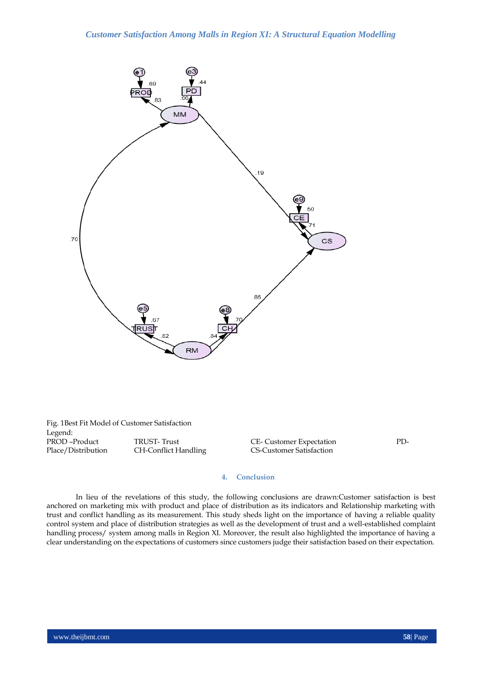

Fig. 1Best Fit Model of Customer Satisfaction Legend:<br>PROD-Product PROD –Product TRUST- Trust CE- Customer Expectation PD-<br>Place/Distribution CH-Conflict Handling CS-Customer Satisfaction

CS-Customer Satisfaction

## **4. Conclusion**

In lieu of the revelations of this study, the following conclusions are drawn:Customer satisfaction is best anchored on marketing mix with product and place of distribution as its indicators and Relationship marketing with trust and conflict handling as its measurement. This study sheds light on the importance of having a reliable quality control system and place of distribution strategies as well as the development of trust and a well-established complaint handling process/ system among malls in Region XI. Moreover, the result also highlighted the importance of having a clear understanding on the expectations of customers since customers judge their satisfaction based on their expectation.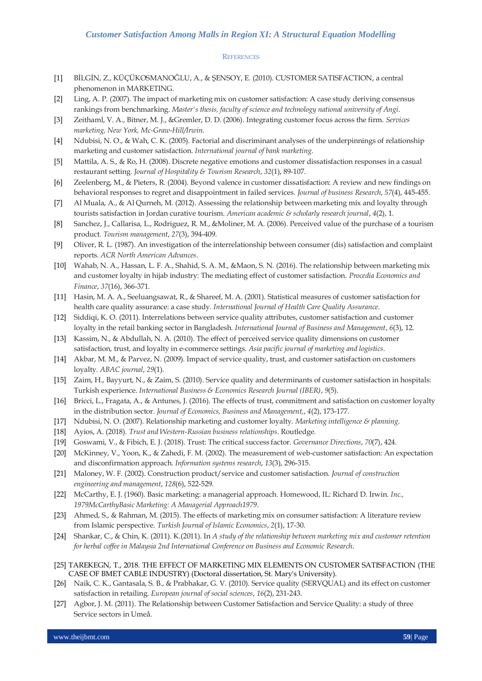#### **REFERENCES**

- [1] BİLGİN, Z., KÜÇÜKOSMANOĞLU, A., & ŞENSOY, E. (2010). CUSTOMER SATISFACTION, a central phenomenon in MARKETING.
- [2] Ling, A. P. (2007). The impact of marketing mix on customer satisfaction: A case study deriving consensus rankings from benchmarking. *Master's thesis, faculty of science and technology national university of Angi*.
- [3] Zeithaml, V. A., Bitner, M. J., &Gremler, D. D. (2006). Integrating customer focus across the firm. *Services marketing, New York, Mc-Graw-Hill/Irwin*.
- [4] Ndubisi, N. O., & Wah, C. K. (2005). Factorial and discriminant analyses of the underpinnings of relationship marketing and customer satisfaction. *International journal of bank marketing*.
- [5] Mattila, A. S., & Ro, H. (2008). Discrete negative emotions and customer dissatisfaction responses in a casual restaurant setting. *Journal of Hospitality & Tourism Research*, *32*(1), 89-107.
- [6] Zeelenberg, M., & Pieters, R. (2004). Beyond valence in customer dissatisfaction: A review and new findings on behavioral responses to regret and disappointment in failed services. *Journal of business Research*, *57*(4), 445-455.
- [7] Al Muala, A., & Al Qurneh, M. (2012). Assessing the relationship between marketing mix and loyalty through tourists satisfaction in Jordan curative tourism. *American academic & scholarly research journal*, *4*(2), 1.
- [8] Sanchez, J., Callarisa, L., Rodriguez, R. M., &Moliner, M. A. (2006). Perceived value of the purchase of a tourism product. *Tourism management*, *27*(3), 394-409.
- [9] Oliver, R. L. (1987). An investigation of the interrelationship between consumer (dis) satisfaction and complaint reports. *ACR North American Advances*.
- [10] Wahab, N. A., Hassan, L. F. A., Shahid, S. A. M., &Maon, S. N. (2016). The relationship between marketing mix and customer loyalty in hijab industry: The mediating effect of customer satisfaction. *Procedia Economics and Finance*, *37*(16), 366-371.
- [11] Hasin, M. A. A., Seeluangsawat, R., & Shareef, M. A. (2001). Statistical measures of customer satisfaction for health care quality assurance: a case study. *International Journal of Health Care Quality Assurance*.
- [12] Siddiqi, K. O. (2011). Interrelations between service quality attributes, customer satisfaction and customer loyalty in the retail banking sector in Bangladesh. *International Journal of Business and Management*, *6*(3), 12.
- [13] Kassim, N., & Abdullah, N. A. (2010). The effect of perceived service quality dimensions on customer satisfaction, trust, and loyalty in e‐commerce settings. *Asia pacific journal of marketing and logistics*.
- [14] Akbar, M. M., & Parvez, N. (2009). Impact of service quality, trust, and customer satisfaction on customers loyalty. *ABAC journal*, *29*(1).
- [15] Zaim, H., Bayyurt, N., & Zaim, S. (2010). Service quality and determinants of customer satisfaction in hospitals: Turkish experience. *International Business & Economics Research Journal (IBER)*, *9*(5).
- [16] Bricci, L., Fragata, A., & Antunes, J. (2016). The effects of trust, commitment and satisfaction on customer loyalty in the distribution sector. *Journal of Economics, Business and Management,*, *4*(2), 173-177.
- [17] Ndubisi, N. O. (2007). Relationship marketing and customer loyalty. *Marketing intelligence & planning*.
- [18] Ayios, A. (2018). *Trust and Western-Russian business relationships*. Routledge.
- [19] Goswami, V., & Fibich, E. J. (2018). Trust: The critical success factor. *Governance Directions*, *70*(7), 424.
- [20] McKinney, V., Yoon, K., & Zahedi, F. M. (2002). The measurement of web-customer satisfaction: An expectation and disconfirmation approach. *Information systems research*, *13*(3), 296-315.
- [21] Maloney, W. F. (2002). Construction product/service and customer satisfaction. *Journal of construction engineering and management*, *128*(6), 522-529.
- [22] McCarthy, E. J. (1960). Basic marketing: a managerial approach. Homewood, IL: Richard D. Irwin. *Inc., 1979McCarthyBasic Marketing: A Managerial Approach1979*.
- [23] Ahmed, S., & Rahman, M. (2015). The effects of marketing mix on consumer satisfaction: A literature review from Islamic perspective. *Turkish Journal of Islamic Economics*, *2*(1), 17-30.
- [24] Shankar, C., & Chin, K. (2011). K.(2011). In *A study of the relationship between marketing mix and customer retention for herbal coffee in Malaysia 2nd International Conference on Business and Economic Research*.
- [25] TAREKEGN, T., 2018. THE EFFECT OF MARKETING MIX ELEMENTS ON CUSTOMER SATISFACTION (THE CASE OF BMET CABLE INDUSTRY) (Doctoral dissertation, St. Mary's University).
- [26] Naik, C. K., Gantasala, S. B., & Prabhakar, G. V. (2010). Service quality (SERVQUAL) and its effect on customer satisfaction in retailing. *European journal of social sciences*, *16*(2), 231-243.
- [27] Agbor, J. M. (2011). The Relationship between Customer Satisfaction and Service Quality: a study of three Service sectors in Umeå.